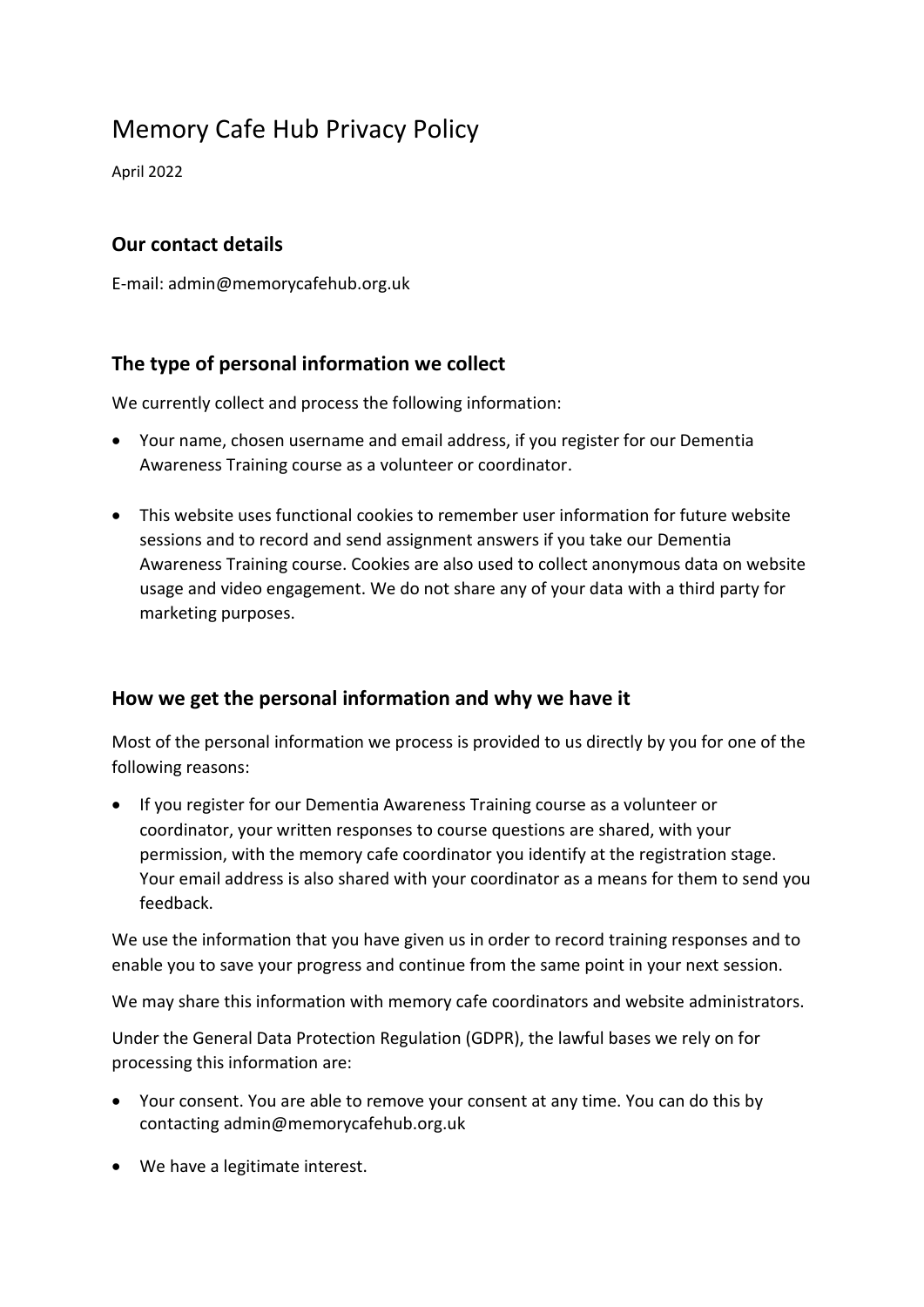# Memory Cafe Hub Privacy Policy

April 2022

## **Our contact details**

E-mail: admin@memorycafehub.org.uk

## **The type of personal information we collect**

We currently collect and process the following information:

- Your name, chosen username and email address, if you register for our Dementia Awareness Training course as a volunteer or coordinator.
- This website uses functional cookies to remember user information for future website sessions and to record and send assignment answers if you take our Dementia Awareness Training course. Cookies are also used to collect anonymous data on website usage and video engagement. We do not share any of your data with a third party for marketing purposes.

#### **How we get the personal information and why we have it**

Most of the personal information we process is provided to us directly by you for one of the following reasons:

• If you register for our Dementia Awareness Training course as a volunteer or coordinator, your written responses to course questions are shared, with your permission, with the memory cafe coordinator you identify at the registration stage. Your email address is also shared with your coordinator as a means for them to send you feedback.

We use the information that you have given us in order to record training responses and to enable you to save your progress and continue from the same point in your next session.

We may share this information with memory cafe coordinators and website administrators.

Under the General Data Protection Regulation (GDPR), the lawful bases we rely on for processing this information are:

- Your consent. You are able to remove your consent at any time. You can do this by contacting admin@memorycafehub.org.uk
- We have a legitimate interest.